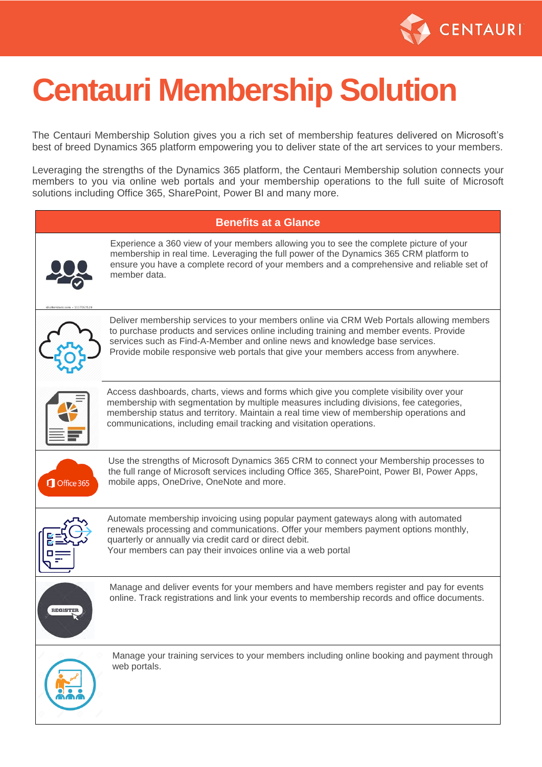

# **Centauri Membership Solution**

The Centauri Membership Solution gives you a rich set of membership features delivered on Microsoft's best of breed Dynamics 365 platform empowering you to deliver state of the art services to your members.

Leveraging the strengths of the Dynamics 365 platform, the Centauri Membership solution connects your members to you via online web portals and your membership operations to the full suite of Microsoft solutions including Office 365, SharePoint, Power BI and many more.

#### **Benefits at a Glance**



Experience a 360 view of your members allowing you to see the complete picture of your membership in real time. Leveraging the full power of the Dynamics 365 CRM platform to ensure you have a complete record of your members and a comprehensive and reliable set of member data.



Deliver membership services to your members online via CRM Web Portals allowing members to purchase products and services online including training and member events. Provide services such as Find-A-Member and online news and knowledge base services. Provide mobile responsive web portals that give your members access from anywhere.



Access dashboards, charts, views and forms which give you complete visibility over your membership with segmentation by multiple measures including divisions, fee categories, membership status and territory. Maintain a real time view of membership operations and communications, including email tracking and visitation operations.



Use the strengths of Microsoft Dynamics 365 CRM to connect your Membership processes to the full range of Microsoft services including Office 365, SharePoint, Power BI, Power Apps, mobile apps, OneDrive, OneNote and more.



Automate membership invoicing using popular payment gateways along with automated renewals processing and communications. Offer your members payment options monthly, quarterly or annually via credit card or direct debit. Your members can pay their invoices online via a web portal



Manage and deliver events for your members and have members register and pay for events online. Track registrations and link your events to membership records and office documents.



Manage your training services to your members including online booking and payment through web portals.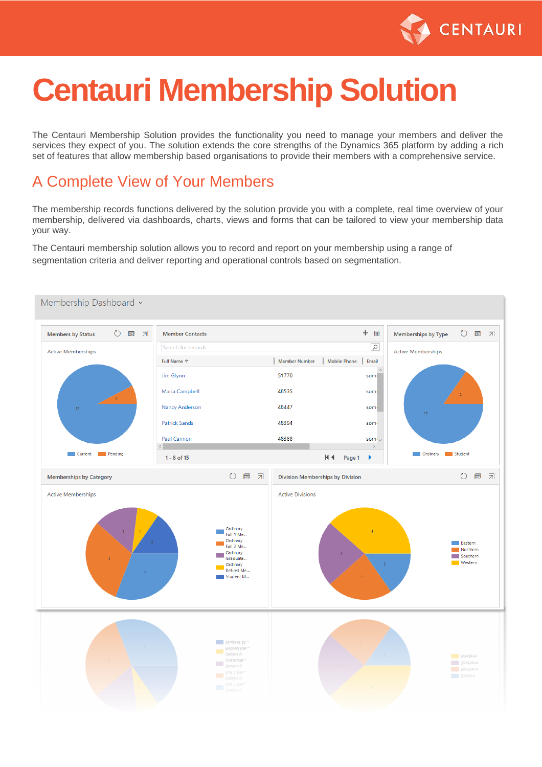

## **Centauri Membership Solution**

The Centauri Membership Solution provides the functionality you need to manage your members and deliver the services they expect of you. The solution extends the core strengths of the Dynamics 365 platform by adding a rich set of features that allow membership based organisations to provide their members with a comprehensive service.

#### A Complete View of Your Members

The membership records functions delivered by the solution provide you with a complete, real time overview of your membership, delivered via dashboards, charts, views and forms that can be tailored to view your membership data your way.

The Centauri membership solution allows you to record and report on your membership using a range of segmentation criteria and deliver reporting and operational controls based on segmentation.

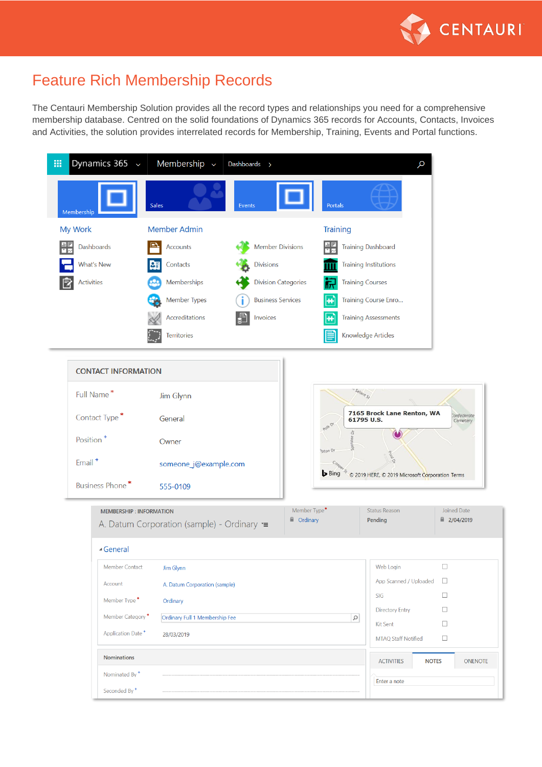

#### Feature Rich Membership Records

The Centauri Membership Solution provides all the record types and relationships you need for a comprehensive membership database. Centred on the solid foundations of Dynamics 365 records for Accounts, Contacts, Invoices and Activities, the solution provides interrelated records for Membership, Training, Events and Portal functions.

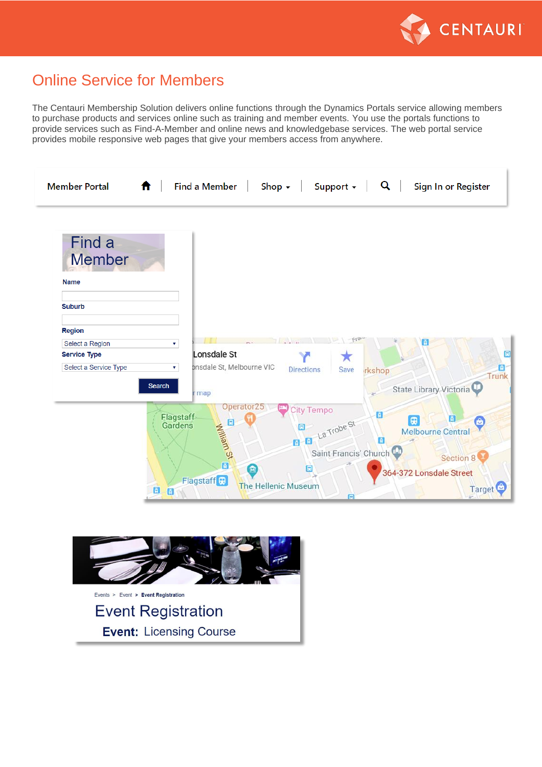

#### Online Service for Members

The Centauri Membership Solution delivers online functions through the Dynamics Portals service allowing members to purchase products and services online such as training and member events. You use the portals functions to provide services such as Find-A-Member and online news and knowledgebase services. The web portal service provides mobile responsive web pages that give your members access from anywhere.